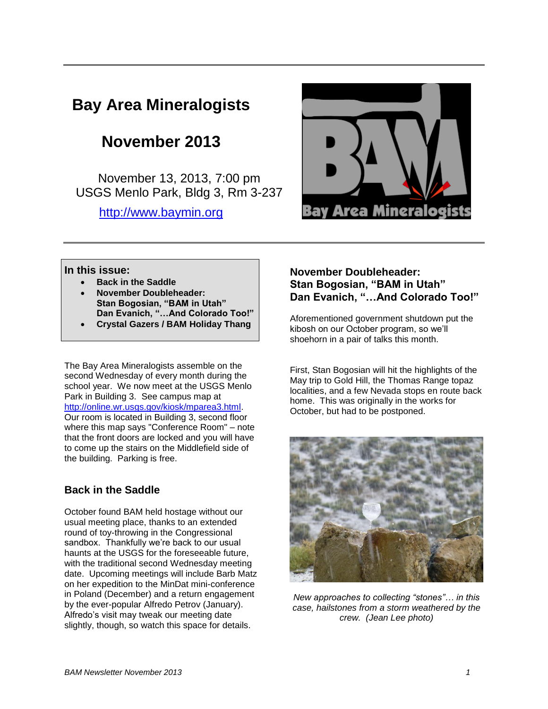# **Bay Area Mineralogists**

## **November 2013**

November 13, 2013, 7:00 pm USGS Menlo Park, Bldg 3, Rm 3-237

[http://www.baymin.org](http://www.baymin.org/)



#### **In this issue:**

- **Back in the Saddle**
- **November Doubleheader: Stan Bogosian, "BAM in Utah" Dan Evanich, "…And Colorado Too!"**
- **Crystal Gazers / BAM Holiday Thang**

The Bay Area Mineralogists assemble on the second Wednesday of every month during the school year. We now meet at the USGS Menlo Park in Building 3. See campus map at [http://online.wr.usgs.gov/kiosk/mparea3.html.](http://online.wr.usgs.gov/kiosk/mparea3.html) Our room is located in Building 3, second floor where this map says "Conference Room" – note that the front doors are locked and you will have to come up the stairs on the Middlefield side of the building. Parking is free.

#### **Back in the Saddle**

October found BAM held hostage without our usual meeting place, thanks to an extended round of toy-throwing in the Congressional sandbox. Thankfully we're back to our usual haunts at the USGS for the foreseeable future, with the traditional second Wednesday meeting date. Upcoming meetings will include Barb Matz on her expedition to the MinDat mini-conference in Poland (December) and a return engagement by the ever-popular Alfredo Petrov (January). Alfredo's visit may tweak our meeting date slightly, though, so watch this space for details.

#### **November Doubleheader: Stan Bogosian, "BAM in Utah" Dan Evanich, "…And Colorado Too!"**

Aforementioned government shutdown put the kibosh on our October program, so we'll shoehorn in a pair of talks this month.

First, Stan Bogosian will hit the highlights of the May trip to Gold Hill, the Thomas Range topaz localities, and a few Nevada stops en route back home. This was originally in the works for October, but had to be postponed.



*New approaches to collecting "stones"… in this case, hailstones from a storm weathered by the crew. (Jean Lee photo)*